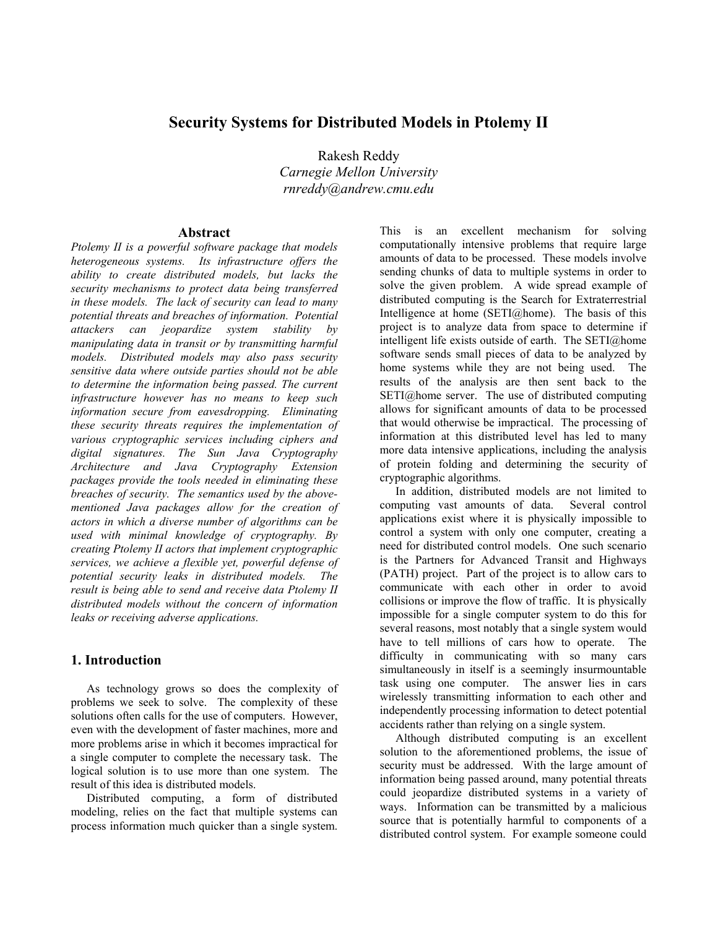# **Security Systems for Distributed Models in Ptolemy II**

Rakesh Reddy *Carnegie Mellon University rnreddy@andrew.cmu.edu*

### **Abstract**

*Ptolemy II is a powerful software package that models heterogeneous systems. Its infrastructure offers the ability to create distributed models, but lacks the security mechanisms to protect data being transferred in these models. The lack of security can lead to many potential threats and breaches of information. Potential attackers can jeopardize system stability by manipulating data in transit or by transmitting harmful models. Distributed models may also pass security sensitive data where outside parties should not be able to determine the information being passed. The current infrastructure however has no means to keep such information secure from eavesdropping. Eliminating these security threats requires the implementation of various cryptographic services including ciphers and digital signatures. The Sun Java Cryptography Architecture and Java Cryptography Extension packages provide the tools needed in eliminating these breaches of security. The semantics used by the abovementioned Java packages allow for the creation of actors in which a diverse number of algorithms can be used with minimal knowledge of cryptography. By creating Ptolemy II actors that implement cryptographic services, we achieve a flexible yet, powerful defense of potential security leaks in distributed models. The result is being able to send and receive data Ptolemy II distributed models without the concern of information leaks or receiving adverse applications.* 

## **1. Introduction**

As technology grows so does the complexity of problems we seek to solve. The complexity of these solutions often calls for the use of computers. However, even with the development of faster machines, more and more problems arise in which it becomes impractical for a single computer to complete the necessary task. The logical solution is to use more than one system. The result of this idea is distributed models.

Distributed computing, a form of distributed modeling, relies on the fact that multiple systems can process information much quicker than a single system. This is an excellent mechanism for solving computationally intensive problems that require large amounts of data to be processed. These models involve sending chunks of data to multiple systems in order to solve the given problem. A wide spread example of distributed computing is the Search for Extraterrestrial Intelligence at home  $(SETI@home)$ . The basis of this project is to analyze data from space to determine if intelligent life exists outside of earth. The SETI@home software sends small pieces of data to be analyzed by home systems while they are not being used. The results of the analysis are then sent back to the SETI@home server. The use of distributed computing allows for significant amounts of data to be processed that would otherwise be impractical. The processing of information at this distributed level has led to many more data intensive applications, including the analysis of protein folding and determining the security of cryptographic algorithms.

In addition, distributed models are not limited to computing vast amounts of data. Several control applications exist where it is physically impossible to control a system with only one computer, creating a need for distributed control models. One such scenario is the Partners for Advanced Transit and Highways (PATH) project. Part of the project is to allow cars to communicate with each other in order to avoid collisions or improve the flow of traffic. It is physically impossible for a single computer system to do this for several reasons, most notably that a single system would have to tell millions of cars how to operate. The difficulty in communicating with so many cars simultaneously in itself is a seemingly insurmountable task using one computer. The answer lies in cars wirelessly transmitting information to each other and independently processing information to detect potential accidents rather than relying on a single system.

Although distributed computing is an excellent solution to the aforementioned problems, the issue of security must be addressed. With the large amount of information being passed around, many potential threats could jeopardize distributed systems in a variety of ways. Information can be transmitted by a malicious source that is potentially harmful to components of a distributed control system. For example someone could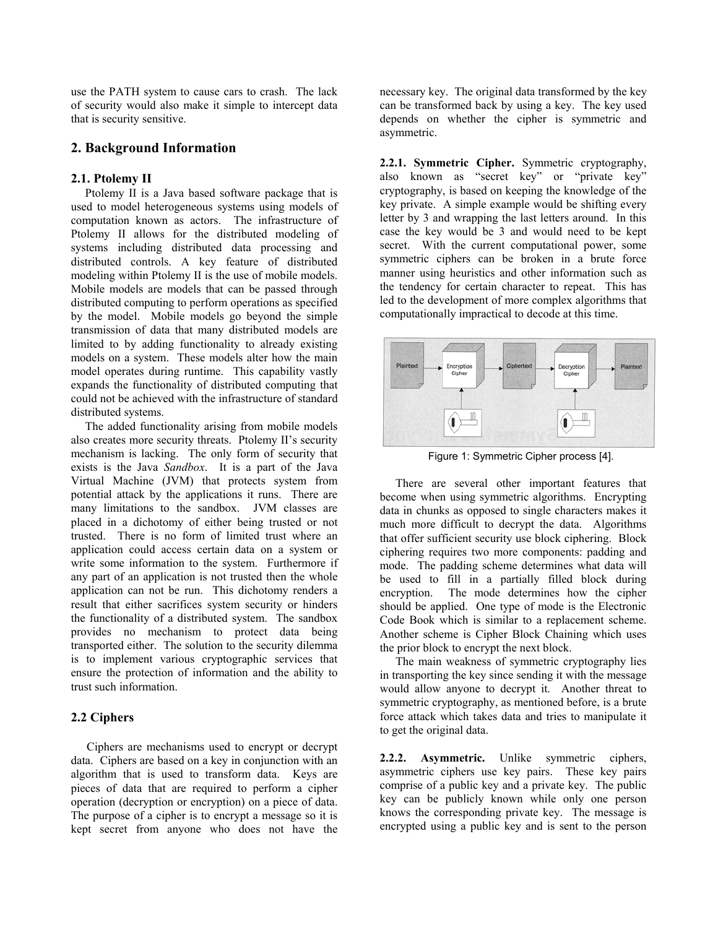use the PATH system to cause cars to crash. The lack of security would also make it simple to intercept data that is security sensitive.

## **2. Background Information**

#### **2.1. Ptolemy II**

Ptolemy II is a Java based software package that is used to model heterogeneous systems using models of computation known as actors. The infrastructure of Ptolemy II allows for the distributed modeling of systems including distributed data processing and distributed controls. A key feature of distributed modeling within Ptolemy II is the use of mobile models. Mobile models are models that can be passed through distributed computing to perform operations as specified by the model. Mobile models go beyond the simple transmission of data that many distributed models are limited to by adding functionality to already existing models on a system. These models alter how the main model operates during runtime. This capability vastly expands the functionality of distributed computing that could not be achieved with the infrastructure of standard distributed systems.

The added functionality arising from mobile models also creates more security threats. Ptolemy II's security mechanism is lacking. The only form of security that exists is the Java *Sandbox*. It is a part of the Java Virtual Machine (JVM) that protects system from potential attack by the applications it runs. There are many limitations to the sandbox. JVM classes are placed in a dichotomy of either being trusted or not trusted. There is no form of limited trust where an application could access certain data on a system or write some information to the system. Furthermore if any part of an application is not trusted then the whole application can not be run. This dichotomy renders a result that either sacrifices system security or hinders the functionality of a distributed system. The sandbox provides no mechanism to protect data being transported either. The solution to the security dilemma is to implement various cryptographic services that ensure the protection of information and the ability to trust such information.

## **2.2 Ciphers**

Ciphers are mechanisms used to encrypt or decrypt data. Ciphers are based on a key in conjunction with an algorithm that is used to transform data. Keys are pieces of data that are required to perform a cipher operation (decryption or encryption) on a piece of data. The purpose of a cipher is to encrypt a message so it is kept secret from anyone who does not have the necessary key. The original data transformed by the key can be transformed back by using a key. The key used depends on whether the cipher is symmetric and asymmetric.

**2.2.1. Symmetric Cipher.** Symmetric cryptography, also known as "secret key" or "private key" cryptography, is based on keeping the knowledge of the key private. A simple example would be shifting every letter by 3 and wrapping the last letters around. In this case the key would be 3 and would need to be kept secret. With the current computational power, some symmetric ciphers can be broken in a brute force manner using heuristics and other information such as the tendency for certain character to repeat. This has led to the development of more complex algorithms that computationally impractical to decode at this time.



Figure 1: Symmetric Cipher process [4].

There are several other important features that become when using symmetric algorithms. Encrypting data in chunks as opposed to single characters makes it much more difficult to decrypt the data. Algorithms that offer sufficient security use block ciphering. Block ciphering requires two more components: padding and mode. The padding scheme determines what data will be used to fill in a partially filled block during encryption. The mode determines how the cipher should be applied. One type of mode is the Electronic Code Book which is similar to a replacement scheme. Another scheme is Cipher Block Chaining which uses the prior block to encrypt the next block.

The main weakness of symmetric cryptography lies in transporting the key since sending it with the message would allow anyone to decrypt it. Another threat to symmetric cryptography, as mentioned before, is a brute force attack which takes data and tries to manipulate it to get the original data.

**2.2.2. Asymmetric.** Unlike symmetric ciphers, asymmetric ciphers use key pairs. These key pairs comprise of a public key and a private key. The public key can be publicly known while only one person knows the corresponding private key. The message is encrypted using a public key and is sent to the person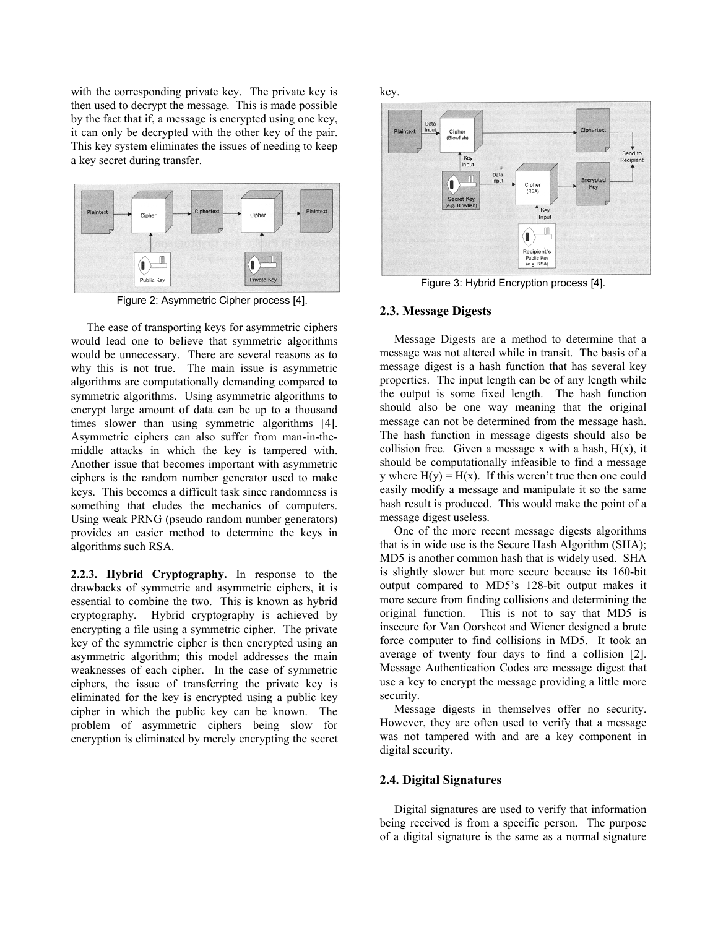with the corresponding private key. The private key is then used to decrypt the message. This is made possible by the fact that if, a message is encrypted using one key, it can only be decrypted with the other key of the pair. This key system eliminates the issues of needing to keep a key secret during transfer.



Figure 2: Asymmetric Cipher process [4].

The ease of transporting keys for asymmetric ciphers would lead one to believe that symmetric algorithms would be unnecessary. There are several reasons as to why this is not true. The main issue is asymmetric algorithms are computationally demanding compared to symmetric algorithms. Using asymmetric algorithms to encrypt large amount of data can be up to a thousand times slower than using symmetric algorithms [4]. Asymmetric ciphers can also suffer from man-in-themiddle attacks in which the key is tampered with. Another issue that becomes important with asymmetric ciphers is the random number generator used to make keys. This becomes a difficult task since randomness is something that eludes the mechanics of computers. Using weak PRNG (pseudo random number generators) provides an easier method to determine the keys in algorithms such RSA.

**2.2.3. Hybrid Cryptography.** In response to the drawbacks of symmetric and asymmetric ciphers, it is essential to combine the two. This is known as hybrid cryptography. Hybrid cryptography is achieved by encrypting a file using a symmetric cipher. The private key of the symmetric cipher is then encrypted using an asymmetric algorithm; this model addresses the main weaknesses of each cipher. In the case of symmetric ciphers, the issue of transferring the private key is eliminated for the key is encrypted using a public key cipher in which the public key can be known. The problem of asymmetric ciphers being slow for encryption is eliminated by merely encrypting the secret key.



Figure 3: Hybrid Encryption process [4].

#### **2.3. Message Digests**

Message Digests are a method to determine that a message was not altered while in transit. The basis of a message digest is a hash function that has several key properties. The input length can be of any length while the output is some fixed length. The hash function should also be one way meaning that the original message can not be determined from the message hash. The hash function in message digests should also be collision free. Given a message x with a hash,  $H(x)$ , it should be computationally infeasible to find a message y where  $H(y) = H(x)$ . If this weren't true then one could easily modify a message and manipulate it so the same hash result is produced. This would make the point of a message digest useless.

One of the more recent message digests algorithms that is in wide use is the Secure Hash Algorithm (SHA); MD5 is another common hash that is widely used. SHA is slightly slower but more secure because its 160-bit output compared to MD5's 128-bit output makes it more secure from finding collisions and determining the original function. This is not to say that MD5 is insecure for Van Oorshcot and Wiener designed a brute force computer to find collisions in MD5. It took an average of twenty four days to find a collision [2]. Message Authentication Codes are message digest that use a key to encrypt the message providing a little more security.

Message digests in themselves offer no security. However, they are often used to verify that a message was not tampered with and are a key component in digital security.

#### **2.4. Digital Signatures**

Digital signatures are used to verify that information being received is from a specific person. The purpose of a digital signature is the same as a normal signature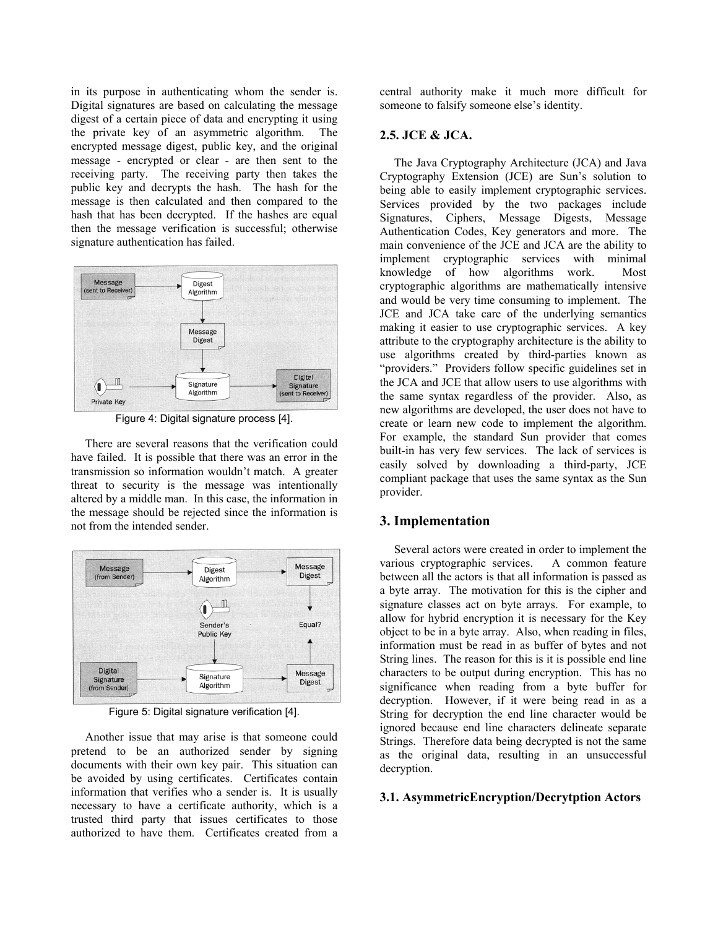in its purpose in authenticating whom the sender is. Digital signatures are based on calculating the message digest of a certain piece of data and encrypting it using the private key of an asymmetric algorithm. The encrypted message digest, public key, and the original message - encrypted or clear - are then sent to the receiving party. The receiving party then takes the public key and decrypts the hash. The hash for the message is then calculated and then compared to the hash that has been decrypted. If the hashes are equal then the message verification is successful; otherwise signature authentication has failed.



Figure 4: Digital signature process [4].

There are several reasons that the verification could have failed. It is possible that there was an error in the transmission so information wouldn't match. A greater threat to security is the message was intentionally altered by a middle man. In this case, the information in the message should be rejected since the information is not from the intended sender.



Figure 5: Digital signature verification [4].

Another issue that may arise is that someone could pretend to be an authorized sender by signing documents with their own key pair. This situation can be avoided by using certificates. Certificates contain information that verifies who a sender is. It is usually necessary to have a certificate authority, which is a trusted third party that issues certificates to those authorized to have them. Certificates created from a

central authority make it much more difficult for someone to falsify someone else's identity.

## **2.5. JCE & JCA.**

The Java Cryptography Architecture (JCA) and Java Cryptography Extension (JCE) are Sun's solution to being able to easily implement cryptographic services. Services provided by the two packages include Signatures, Ciphers, Message Digests, Message Authentication Codes, Key generators and more. The main convenience of the JCE and JCA are the ability to implement cryptographic services with minimal knowledge of how algorithms work. Most cryptographic algorithms are mathematically intensive and would be very time consuming to implement. The JCE and JCA take care of the underlying semantics making it easier to use cryptographic services. A key attribute to the cryptography architecture is the ability to use algorithms created by third-parties known as "providers." Providers follow specific guidelines set in the JCA and JCE that allow users to use algorithms with the same syntax regardless of the provider. Also, as new algorithms are developed, the user does not have to create or learn new code to implement the algorithm. For example, the standard Sun provider that comes built-in has very few services. The lack of services is easily solved by downloading a third-party, JCE compliant package that uses the same syntax as the Sun provider.

# **3. Implementation**

Several actors were created in order to implement the various cryptographic services. A common feature between all the actors is that all information is passed as a byte array. The motivation for this is the cipher and signature classes act on byte arrays. For example, to allow for hybrid encryption it is necessary for the Key object to be in a byte array. Also, when reading in files, information must be read in as buffer of bytes and not String lines. The reason for this is it is possible end line characters to be output during encryption. This has no significance when reading from a byte buffer for decryption. However, if it were being read in as a String for decryption the end line character would be ignored because end line characters delineate separate Strings. Therefore data being decrypted is not the same as the original data, resulting in an unsuccessful decryption.

## **3.1. AsymmetricEncryption/Decrytption Actors**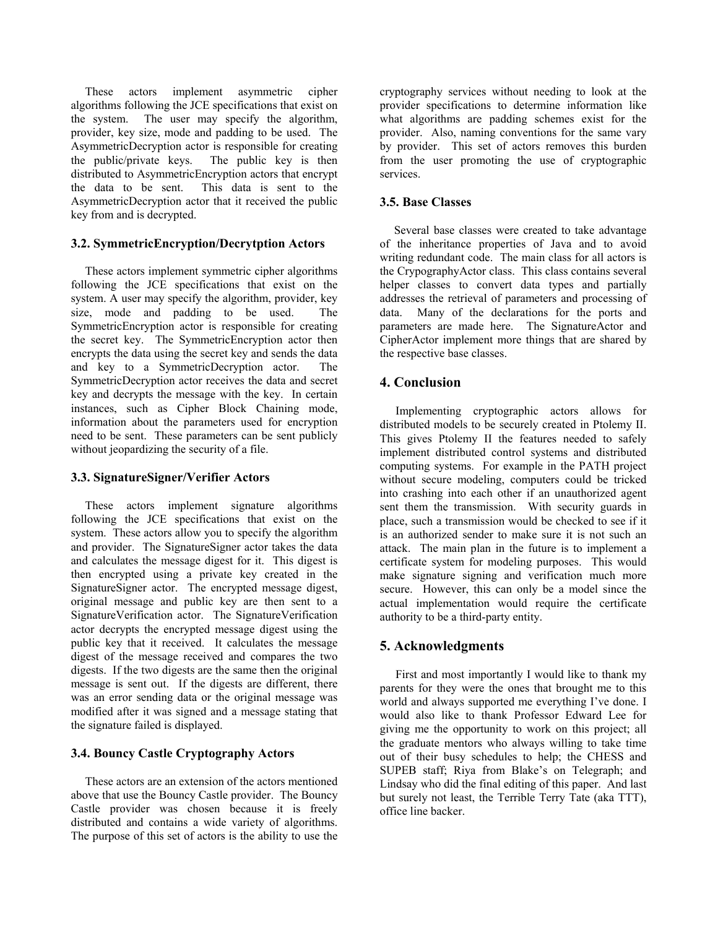These actors implement asymmetric cipher algorithms following the JCE specifications that exist on the system. The user may specify the algorithm, provider, key size, mode and padding to be used. The AsymmetricDecryption actor is responsible for creating the public/private keys. The public key is then distributed to AsymmetricEncryption actors that encrypt the data to be sent. This data is sent to the AsymmetricDecryption actor that it received the public key from and is decrypted.

### **3.2. SymmetricEncryption/Decrytption Actors**

These actors implement symmetric cipher algorithms following the JCE specifications that exist on the system. A user may specify the algorithm, provider, key size, mode and padding to be used. The SymmetricEncryption actor is responsible for creating the secret key. The SymmetricEncryption actor then encrypts the data using the secret key and sends the data and key to a SymmetricDecryption actor. The SymmetricDecryption actor receives the data and secret key and decrypts the message with the key. In certain instances, such as Cipher Block Chaining mode, information about the parameters used for encryption need to be sent. These parameters can be sent publicly without jeopardizing the security of a file.

### **3.3. SignatureSigner/Verifier Actors**

These actors implement signature algorithms following the JCE specifications that exist on the system. These actors allow you to specify the algorithm and provider. The SignatureSigner actor takes the data and calculates the message digest for it. This digest is then encrypted using a private key created in the SignatureSigner actor. The encrypted message digest, original message and public key are then sent to a SignatureVerification actor. The SignatureVerification actor decrypts the encrypted message digest using the public key that it received. It calculates the message digest of the message received and compares the two digests. If the two digests are the same then the original message is sent out. If the digests are different, there was an error sending data or the original message was modified after it was signed and a message stating that the signature failed is displayed.

## **3.4. Bouncy Castle Cryptography Actors**

These actors are an extension of the actors mentioned above that use the Bouncy Castle provider. The Bouncy Castle provider was chosen because it is freely distributed and contains a wide variety of algorithms. The purpose of this set of actors is the ability to use the

cryptography services without needing to look at the provider specifications to determine information like what algorithms are padding schemes exist for the provider. Also, naming conventions for the same vary by provider. This set of actors removes this burden from the user promoting the use of cryptographic services.

## **3.5. Base Classes**

Several base classes were created to take advantage of the inheritance properties of Java and to avoid writing redundant code. The main class for all actors is the CrypographyActor class. This class contains several helper classes to convert data types and partially addresses the retrieval of parameters and processing of data. Many of the declarations for the ports and parameters are made here. The SignatureActor and CipherActor implement more things that are shared by the respective base classes.

## **4. Conclusion**

Implementing cryptographic actors allows for distributed models to be securely created in Ptolemy II. This gives Ptolemy II the features needed to safely implement distributed control systems and distributed computing systems. For example in the PATH project without secure modeling, computers could be tricked into crashing into each other if an unauthorized agent sent them the transmission. With security guards in place, such a transmission would be checked to see if it is an authorized sender to make sure it is not such an attack. The main plan in the future is to implement a certificate system for modeling purposes. This would make signature signing and verification much more secure. However, this can only be a model since the actual implementation would require the certificate authority to be a third-party entity.

# **5. Acknowledgments**

First and most importantly I would like to thank my parents for they were the ones that brought me to this world and always supported me everything I've done. I would also like to thank Professor Edward Lee for giving me the opportunity to work on this project; all the graduate mentors who always willing to take time out of their busy schedules to help; the CHESS and SUPEB staff; Riya from Blake's on Telegraph; and Lindsay who did the final editing of this paper. And last but surely not least, the Terrible Terry Tate (aka TTT), office line backer.